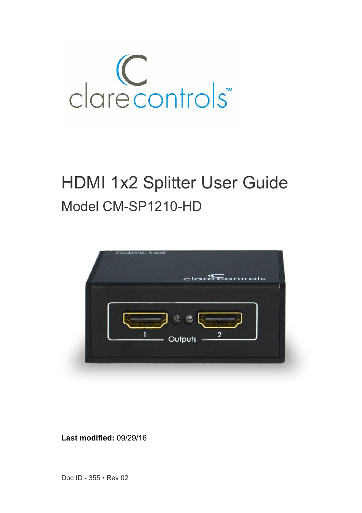

# HDMI 1x2 Splitter User Guide Model CM-SP1210-HD



**Last modified:** 09/29/16

Doc ID - 355 • Rev 02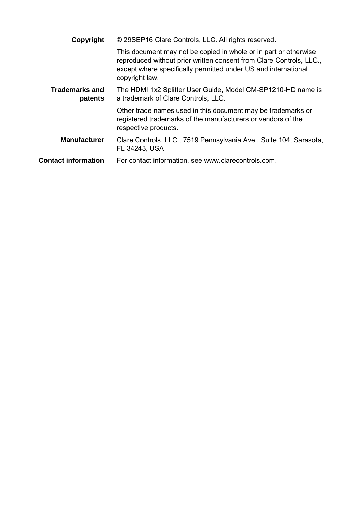| Copyright                        | © 29SEP16 Clare Controls, LLC. All rights reserved.                                                                                                                                                                         |  |  |
|----------------------------------|-----------------------------------------------------------------------------------------------------------------------------------------------------------------------------------------------------------------------------|--|--|
|                                  | This document may not be copied in whole or in part or otherwise<br>reproduced without prior written consent from Clare Controls, LLC.,<br>except where specifically permitted under US and international<br>copyright law. |  |  |
| <b>Trademarks and</b><br>patents | The HDMI 1x2 Splitter User Guide, Model CM-SP1210-HD name is<br>a trademark of Clare Controls, LLC.                                                                                                                         |  |  |
|                                  | Other trade names used in this document may be trademarks or<br>registered trademarks of the manufacturers or vendors of the<br>respective products.                                                                        |  |  |
| <b>Manufacturer</b>              | Clare Controls, LLC., 7519 Pennsylvania Ave., Suite 104, Sarasota,<br>FL 34243. USA                                                                                                                                         |  |  |
| <b>Contact information</b>       | For contact information, see www.clarecontrols.com.                                                                                                                                                                         |  |  |
|                                  |                                                                                                                                                                                                                             |  |  |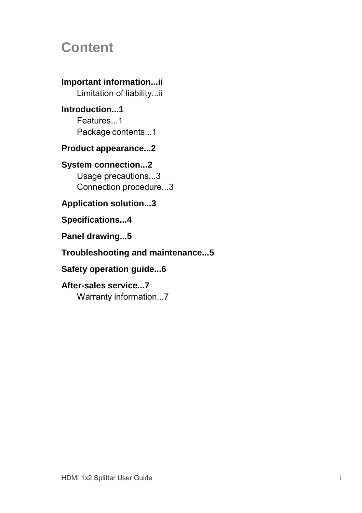## **Content**

**Important information...ii** Limitation of liability...ii **Introduction...1** Features...1 Package contents...1 **Product appearance...2 System connection...2** Usage precautions...3 Connection procedure...3

**Application solution...3**

**Specifications...4**

**Panel drawing...5**

#### **Troubleshooting and maintenance...5**

**Safety operation guide...6**

### **After-sales service...7**

Warranty information...7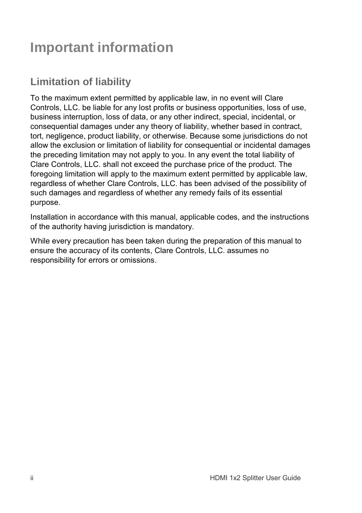# **Important information**

## **Limitation of liability**

To the maximum extent permitted by applicable law, in no event will Clare Controls, LLC. be liable for any lost profits or business opportunities, loss of use, business interruption, loss of data, or any other indirect, special, incidental, or consequential damages under any theory of liability, whether based in contract, tort, negligence, product liability, or otherwise. Because some jurisdictions do not allow the exclusion or limitation of liability for consequential or incidental damages the preceding limitation may not apply to you. In any event the total liability of Clare Controls, LLC. shall not exceed the purchase price of the product. The foregoing limitation will apply to the maximum extent permitted by applicable law, regardless of whether Clare Controls, LLC. has been advised of the possibility of such damages and regardless of whether any remedy fails of its essential purpose.

Installation in accordance with this manual, applicable codes, and the instructions of the authority having jurisdiction is mandatory.

While every precaution has been taken during the preparation of this manual to ensure the accuracy of its contents, Clare Controls, LLC. assumes no responsibility for errors or omissions.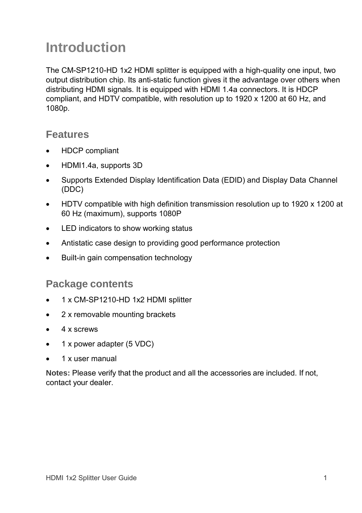# **Introduction**

The CM-SP1210-HD 1x2 HDMI splitter is equipped with a high-quality one input, two output distribution chip. Its anti-static function gives it the advantage over others when distributing HDMI signals. It is equipped with HDMI 1.4a connectors. It is HDCP compliant, and HDTV compatible, with resolution up to 1920 x 1200 at 60 Hz, and 1080p.

#### **Features**

- HDCP compliant
- HDMI1.4a, supports 3D
- Supports Extended Display Identification Data (EDID) and Display Data Channel (DDC)
- HDTV compatible with high definition transmission resolution up to 1920 x 1200 at 60 Hz (maximum), supports 1080P
- LED indicators to show working status
- Antistatic case design to providing good performance protection
- Built-in gain compensation technology

#### **Package contents**

- 1 x CM-SP1210-HD 1x2 HDMI splitter
- 2 x removable mounting brackets
- 4 x screws
- 1 x power adapter (5 VDC)
- 1 x user manual

**Notes:** Please verify that the product and all the accessories are included. If not, contact your dealer.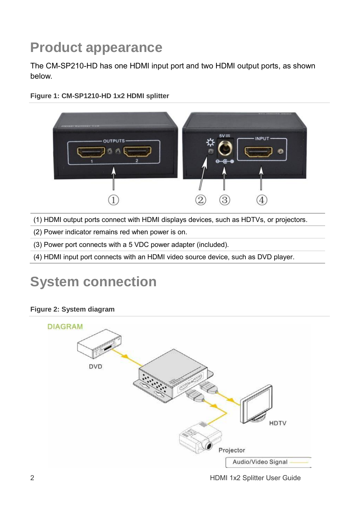# **Product appearance**

The CM-SP210-HD has one HDMI input port and two HDMI output ports, as shown below.





(1) HDMI output ports connect with HDMI displays devices, such as HDTVs, or projectors.

(2) Power indicator remains red when power is on.

(3) Power port connects with a 5 VDC power adapter (included).

(4) HDMI input port connects with an HDMI video source device, such as DVD player.

# **System connection**

#### **Figure 2: System diagram**



2 **All 1x2 Splitter User Guide Properties HDMI 1x2 Splitter User Guide**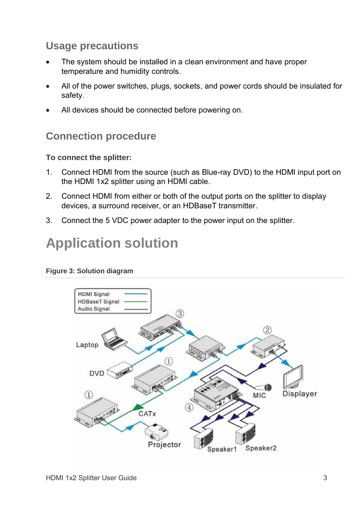### **Usage precautions**

- The system should be installed in a clean environment and have proper temperature and humidity controls.
- All of the power switches, plugs, sockets, and power cords should be insulated for safety.
- All devices should be connected before powering on.

### **Connection procedure**

#### **To connect the splitter:**

- 1. Connect HDMI from the source (such as Blue-ray DVD) to the HDMI input port on the HDMI 1x2 splitter using an HDMI cable.
- 2. Connect HDMI from either or both of the output ports on the splitter to display devices, a surround receiver, or an HDBaseT transmitter.
- 3. Connect the 5 VDC power adapter to the power input on the splitter.

## **Application solution**



#### **Figure 3: Solution diagram**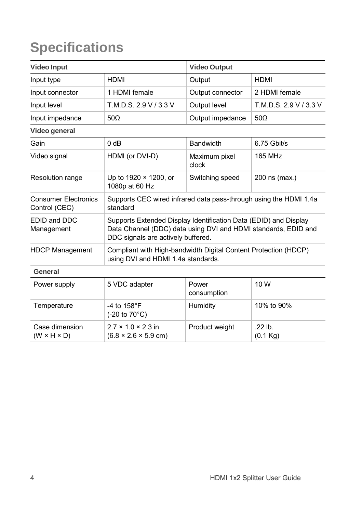# **Specifications**

| <b>Video Input</b>                           |                                                                                                                                                                          | <b>Video Output</b>    |                        |  |
|----------------------------------------------|--------------------------------------------------------------------------------------------------------------------------------------------------------------------------|------------------------|------------------------|--|
| Input type                                   | <b>HDMI</b>                                                                                                                                                              | Output                 | <b>HDMI</b>            |  |
| Input connector                              | 1 HDMI female                                                                                                                                                            | Output connector       | 2 HDMI female          |  |
| Input level                                  | T.M.D.S. 2.9 V / 3.3 V                                                                                                                                                   | Output level           | T.M.D.S. 2.9 V / 3.3 V |  |
| Input impedance                              | $50\Omega$                                                                                                                                                               | Output impedance       | $50\Omega$             |  |
| Video general                                |                                                                                                                                                                          |                        |                        |  |
| Gain                                         | 0 dB                                                                                                                                                                     | <b>Bandwidth</b>       | $6.75$ Gbit/s          |  |
| Video signal                                 | HDMI (or DVI-D)                                                                                                                                                          | Maximum pixel<br>clock | <b>165 MHz</b>         |  |
| Resolution range                             | Up to 1920 × 1200, or<br>1080p at 60 Hz                                                                                                                                  | Switching speed        | 200 ns (max.)          |  |
| <b>Consumer Electronics</b><br>Control (CEC) | Supports CEC wired infrared data pass-through using the HDMI 1.4a<br>standard                                                                                            |                        |                        |  |
| EDID and DDC<br>Management                   | Supports Extended Display Identification Data (EDID) and Display<br>Data Channel (DDC) data using DVI and HDMI standards, EDID and<br>DDC signals are actively buffered. |                        |                        |  |
| <b>HDCP Management</b>                       | Compliant with High-bandwidth Digital Content Protection (HDCP)<br>using DVI and HDMI 1.4a standards.                                                                    |                        |                        |  |
| General                                      |                                                                                                                                                                          |                        |                        |  |
| Power supply                                 | 5 VDC adapter                                                                                                                                                            | Power<br>consumption   | 10 W                   |  |
| Temperature                                  | -4 to $158^{\circ}$ F<br>$(-20 \text{ to } 70^{\circ} \text{C})$                                                                                                         | Humidity               | 10% to 90%             |  |
| Case dimension<br>$(W \times H \times D)$    | $2.7 \times 1.0 \times 2.3$ in<br>$(6.8 \times 2.6 \times 5.9 \text{ cm})$                                                                                               | Product weight         | .22 lb.<br>(0.1 Kg)    |  |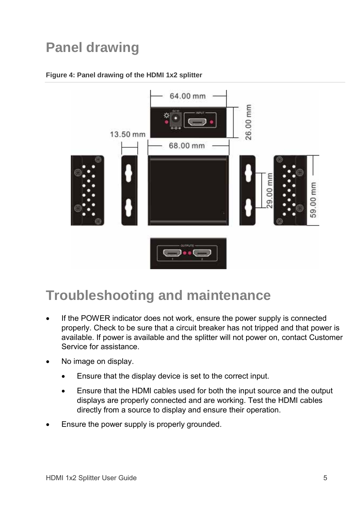# **Panel drawing**

#### **Figure 4: Panel drawing of the HDMI 1x2 splitter**



## **Troubleshooting and maintenance**

- If the POWER indicator does not work, ensure the power supply is connected properly. Check to be sure that a circuit breaker has not tripped and that power is available. If power is available and the splitter will not power on, contact Customer Service for assistance.
- No image on display.
	- Ensure that the display device is set to the correct input.
	- Ensure that the HDMI cables used for both the input source and the output displays are properly connected and are working. Test the HDMI cables directly from a source to display and ensure their operation.
- Ensure the power supply is properly grounded.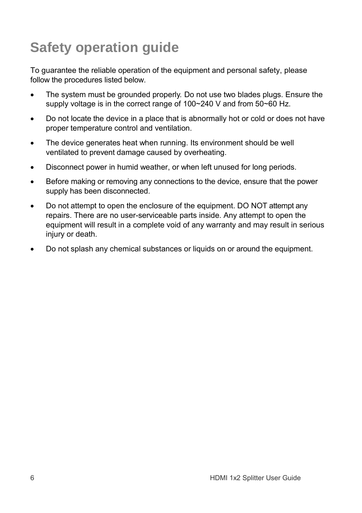# **Safety operation guide**

To guarantee the reliable operation of the equipment and personal safety, please follow the procedures listed below.

- The system must be grounded properly. Do not use two blades plugs. Ensure the supply voltage is in the correct range of 100~240 V and from 50~60 Hz.
- Do not locate the device in a place that is abnormally hot or cold or does not have proper temperature control and ventilation.
- The device generates heat when running. Its environment should be well ventilated to prevent damage caused by overheating.
- Disconnect power in humid weather, or when left unused for long periods.
- Before making or removing any connections to the device, ensure that the power supply has been disconnected.
- Do not attempt to open the enclosure of the equipment. DO NOT attempt any repairs. There are no user-serviceable parts inside. Any attempt to open the equipment will result in a complete void of any warranty and may result in serious injury or death.
- Do not splash any chemical substances or liquids on or around the equipment.